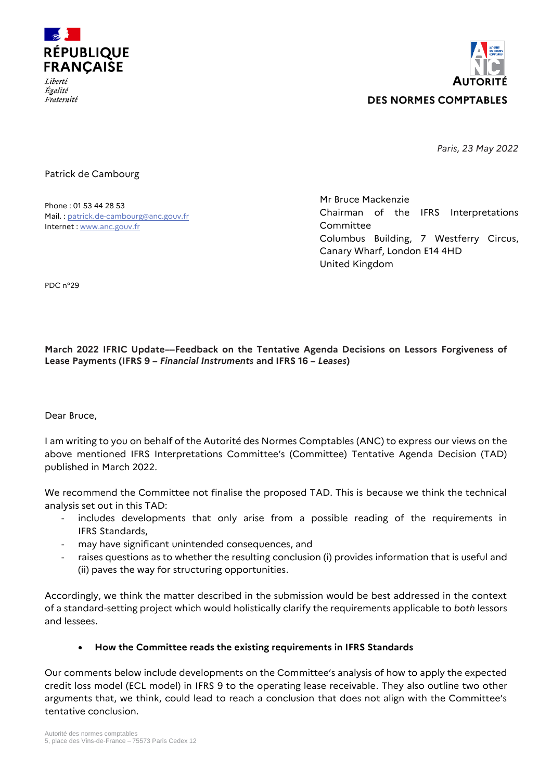



*Paris, 23 May 2022*

#### Patrick de Cambourg

Phone : 01 53 44 28 53 Mail. [: patrick.de-cambourg@anc.gouv.fr](mailto:patrick.de-cambourg@anc.gouv.fr) Internet [: www.anc.gouv.fr](http://www.anc.gouv.fr/)

Mr Bruce Mackenzie Chairman of the IFRS Interpretations Committee Columbus Building, 7 Westferry Circus, Canary Wharf, London E14 4HD United Kingdom

PDC n°29

### **March 2022 IFRIC Update––Feedback on the Tentative Agenda Decisions on Lessors Forgiveness of Lease Payments (IFRS 9 –** *Financial Instruments* **and IFRS 16 –** *Leases***)**

Dear Bruce,

I am writing to you on behalf of the Autorité des Normes Comptables (ANC) to express our views on the above mentioned IFRS Interpretations Committee's (Committee) Tentative Agenda Decision (TAD) published in March 2022.

We recommend the Committee not finalise the proposed TAD. This is because we think the technical analysis set out in this TAD:

- includes developments that only arise from a possible reading of the requirements in IFRS Standards,
- may have significant unintended consequences, and
- raises questions as to whether the resulting conclusion (i) provides information that is useful and (ii) paves the way for structuring opportunities.

Accordingly, we think the matter described in the submission would be best addressed in the context of a standard-setting project which would holistically clarify the requirements applicable to *both* lessors and lessees.

### **How the Committee reads the existing requirements in IFRS Standards**

Our comments below include developments on the Committee's analysis of how to apply the expected credit loss model (ECL model) in IFRS 9 to the operating lease receivable. They also outline two other arguments that, we think, could lead to reach a conclusion that does not align with the Committee's tentative conclusion.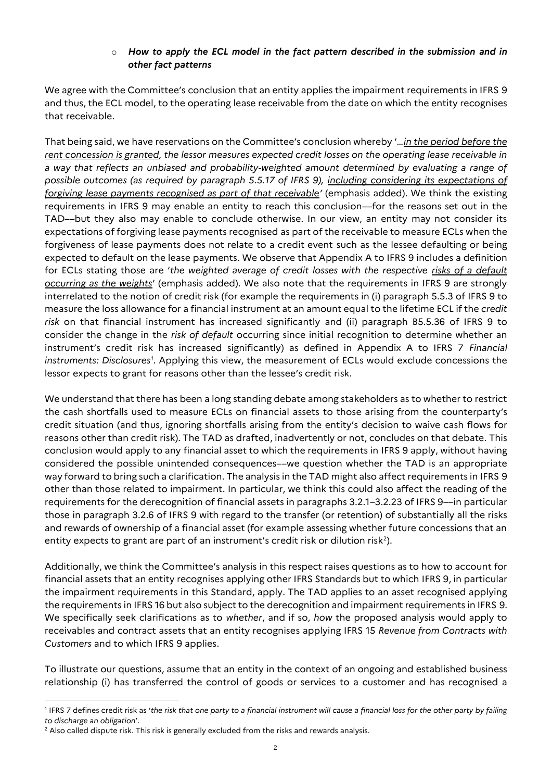### o *How to apply the ECL model in the fact pattern described in the submission and in other fact patterns*

We agree with the Committee's conclusion that an entity applies the impairment requirements in IFRS 9 and thus, the ECL model, to the operating lease receivable from the date on which the entity recognises that receivable.

That being said, we have reservations on the Committee's conclusion whereby '…*in the period before the rent concession is granted, the lessor measures expected credit losses on the operating lease receivable in a way that reflects an unbiased and probability-weighted amount determined by evaluating a range of possible outcomes (as required by paragraph 5.5.17 of IFRS 9), including considering its expectations of forgiving lease payments recognised as part of that receivable'* (emphasis added). We think the existing requirements in IFRS 9 may enable an entity to reach this conclusion––for the reasons set out in the TAD––but they also may enable to conclude otherwise. In our view, an entity may not consider its expectations of forgiving lease payments recognised as part of the receivable to measure ECLs when the forgiveness of lease payments does not relate to a credit event such as the lessee defaulting or being expected to default on the lease payments. We observe that Appendix A to IFRS 9 includes a definition for ECLs stating those are '*the weighted average of credit losses with the respective risks of a default occurring as the weights*' (emphasis added). We also note that the requirements in IFRS 9 are strongly interrelated to the notion of credit risk (for example the requirements in (i) paragraph 5.5.3 of IFRS 9 to measure the loss allowance for a financial instrument at an amount equal to the lifetime ECL if the *credit risk* on that financial instrument has increased significantly and (ii) paragraph B5.5.36 of IFRS 9 to consider the change in the *risk of default* occurring since initial recognition to determine whether an instrument's credit risk has increased significantly) as defined in Appendix A to IFRS 7 *Financial instruments: Disclosures<sup>1</sup>* . Applying this view, the measurement of ECLs would exclude concessions the lessor expects to grant for reasons other than the lessee's credit risk.

We understand that there has been a long standing debate among stakeholders as to whether to restrict the cash shortfalls used to measure ECLs on financial assets to those arising from the counterparty's credit situation (and thus, ignoring shortfalls arising from the entity's decision to waive cash flows for reasons other than credit risk). The TAD as drafted, inadvertently or not, concludes on that debate. This conclusion would apply to any financial asset to which the requirements in IFRS 9 apply, without having considered the possible unintended consequences––we question whether the TAD is an appropriate way forward to bring such a clarification. The analysis in the TAD might also affect requirements in IFRS 9 other than those related to impairment. In particular, we think this could also affect the reading of the requirements for the derecognition of financial assets in paragraphs 3.2.1–3.2.23 of IFRS 9––in particular those in paragraph 3.2.6 of IFRS 9 with regard to the transfer (or retention) of substantially all the risks and rewards of ownership of a financial asset (for example assessing whether future concessions that an entity expects to grant are part of an instrument's credit risk or dilution risk<sup>2</sup>).

Additionally, we think the Committee's analysis in this respect raises questions as to how to account for financial assets that an entity recognises applying other IFRS Standards but to which IFRS 9, in particular the impairment requirements in this Standard, apply. The TAD applies to an asset recognised applying the requirements in IFRS 16 but also subject to the derecognition and impairment requirements in IFRS 9. We specifically seek clarifications as to *whether*, and if so, *how* the proposed analysis would apply to receivables and contract assets that an entity recognises applying IFRS 15 *Revenue from Contracts with Customers* and to which IFRS 9 applies.

To illustrate our questions, assume that an entity in the context of an ongoing and established business relationship (i) has transferred the control of goods or services to a customer and has recognised a

<sup>1</sup> IFRS 7 defines credit risk as '*the risk that one party to a financial instrument will cause a financial loss for the other party by failing to discharge an obligation*'.

<sup>&</sup>lt;sup>2</sup> Also called dispute risk. This risk is generally excluded from the risks and rewards analysis.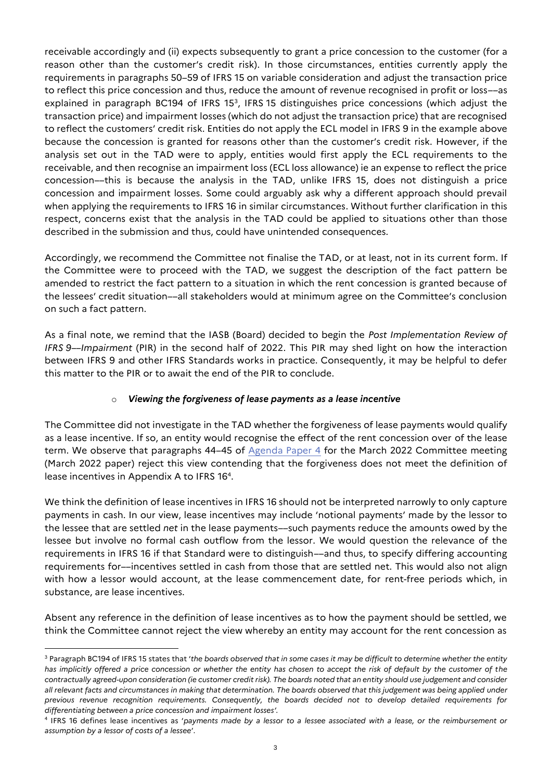receivable accordingly and (ii) expects subsequently to grant a price concession to the customer (for a reason other than the customer's credit risk). In those circumstances, entities currently apply the requirements in paragraphs 50–59 of IFRS 15 on variable consideration and adjust the transaction price to reflect this price concession and thus, reduce the amount of revenue recognised in profit or loss––as explained in paragraph BC194 of IFRS 15<sup>3</sup>, IFRS 15 distinguishes price concessions (which adjust the transaction price) and impairment losses (which do not adjust the transaction price) that are recognised to reflect the customers' credit risk. Entities do not apply the ECL model in IFRS 9 in the example above because the concession is granted for reasons other than the customer's credit risk. However, if the analysis set out in the TAD were to apply, entities would first apply the ECL requirements to the receivable, and then recognise an impairment loss (ECL loss allowance) ie an expense to reflect the price concession––this is because the analysis in the TAD, unlike IFRS 15, does not distinguish a price concession and impairment losses. Some could arguably ask why a different approach should prevail when applying the requirements to IFRS 16 in similar circumstances. Without further clarification in this respect, concerns exist that the analysis in the TAD could be applied to situations other than those described in the submission and thus, could have unintended consequences.

Accordingly, we recommend the Committee not finalise the TAD, or at least, not in its current form. If the Committee were to proceed with the TAD, we suggest the description of the fact pattern be amended to restrict the fact pattern to a situation in which the rent concession is granted because of the lessees' credit situation––all stakeholders would at minimum agree on the Committee's conclusion on such a fact pattern.

As a final note, we remind that the IASB (Board) decided to begin the *Post Implementation Review of IFRS 9––Impairment* (PIR) in the second half of 2022. This PIR may shed light on how the interaction between IFRS 9 and other IFRS Standards works in practice. Consequently, it may be helpful to defer this matter to the PIR or to await the end of the PIR to conclude.

# o *Viewing the forgiveness of lease payments as a lease incentive*

The Committee did not investigate in the TAD whether the forgiveness of lease payments would qualify as a lease incentive. If so, an entity would recognise the effect of the rent concession over of the lease term. We observe that paragraphs 44-45 of  $\frac{1}{2}$  [Agenda Paper 4](https://www.ifrs.org/content/dam/ifrs/meetings/2022/march/ifric/ap04-rent-concessions.pdf) for the March 2022 Committee meeting (March 2022 paper) reject this view contending that the forgiveness does not meet the definition of lease incentives in Appendix A to IFRS 16<sup>4</sup> .

We think the definition of lease incentives in IFRS 16 should not be interpreted narrowly to only capture payments in cash. In our view, lease incentives may include 'notional payments' made by the lessor to the lessee that are settled *net* in the lease payments––such payments reduce the amounts owed by the lessee but involve no formal cash outflow from the lessor. We would question the relevance of the requirements in IFRS 16 if that Standard were to distinguish––and thus, to specify differing accounting requirements for––incentives settled in cash from those that are settled net. This would also not align with how a lessor would account, at the lease commencement date, for rent-free periods which, in substance, are lease incentives.

Absent any reference in the definition of lease incentives as to how the payment should be settled, we think the Committee cannot reject the view whereby an entity may account for the rent concession as

 $\overline{a}$ 

<sup>3</sup> Paragraph BC194 of IFRS 15 states that '*the boards observed that in some cases it may be difficult to determine whether the entity has implicitly offered a price concession or whether the entity has chosen to accept the risk of default by the customer of the contractually agreed-upon consideration (ie customer credit risk). The boards noted that an entity should use judgement and consider all relevant facts and circumstances in making that determination. The boards observed that this judgement was being applied under previous revenue recognition requirements. Consequently, the boards decided not to develop detailed requirements for differentiating between a price concession and impairment losses'.*

<sup>4</sup> IFRS 16 defines lease incentives as '*payments made by a lessor to a lessee associated with a lease, or the reimbursement or assumption by a lessor of costs of a lessee*'.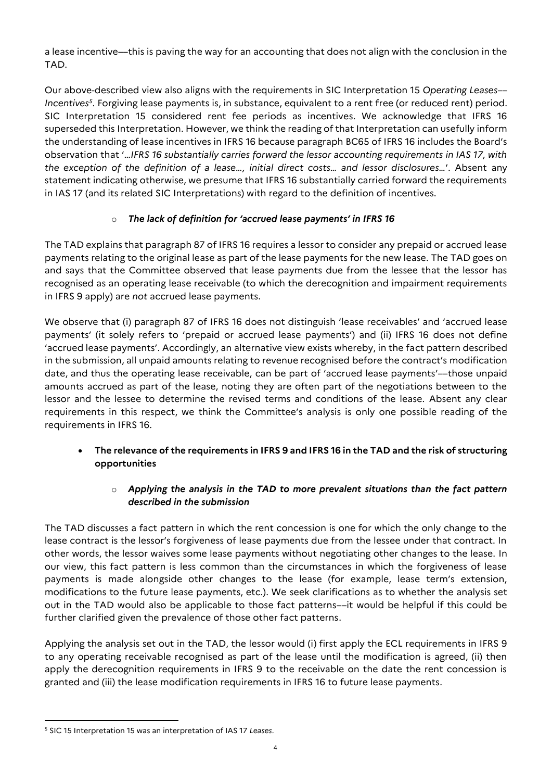a lease incentive––this is paving the way for an accounting that does not align with the conclusion in the TAD.

Our above-described view also aligns with the requirements in SIC Interpretation 15 *Operating Leases–– Incentives<sup>5</sup>* . Forgiving lease payments is, in substance, equivalent to a rent free (or reduced rent) period. SIC Interpretation 15 considered rent fee periods as incentives. We acknowledge that IFRS 16 superseded this Interpretation. However, we think the reading of that Interpretation can usefully inform the understanding of lease incentives in IFRS 16 because paragraph BC65 of IFRS 16 includes the Board's observation that '…*IFRS 16 substantially carries forward the lessor accounting requirements in IAS 17, with the exception of the definition of a lease…, initial direct costs… and lessor disclosures…*'. Absent any statement indicating otherwise, we presume that IFRS 16 substantially carried forward the requirements in IAS 17 (and its related SIC Interpretations) with regard to the definition of incentives.

# o *The lack of definition for 'accrued lease payments' in IFRS 16*

The TAD explains that paragraph 87 of IFRS 16 requires a lessor to consider any prepaid or accrued lease payments relating to the original lease as part of the lease payments for the new lease. The TAD goes on and says that the Committee observed that lease payments due from the lessee that the lessor has recognised as an operating lease receivable (to which the derecognition and impairment requirements in IFRS 9 apply) are *not* accrued lease payments.

We observe that (i) paragraph 87 of IFRS 16 does not distinguish 'lease receivables' and 'accrued lease payments' (it solely refers to 'prepaid or accrued lease payments') and (ii) IFRS 16 does not define 'accrued lease payments'. Accordingly, an alternative view exists whereby, in the fact pattern described in the submission, all unpaid amounts relating to revenue recognised before the contract's modification date, and thus the operating lease receivable, can be part of 'accrued lease payments'––those unpaid amounts accrued as part of the lease, noting they are often part of the negotiations between to the lessor and the lessee to determine the revised terms and conditions of the lease. Absent any clear requirements in this respect, we think the Committee's analysis is only one possible reading of the requirements in IFRS 16.

 **The relevance of the requirements in IFRS 9 and IFRS 16 in the TAD and the risk of structuring opportunities**

# o *Applying the analysis in the TAD to more prevalent situations than the fact pattern described in the submission*

The TAD discusses a fact pattern in which the rent concession is one for which the only change to the lease contract is the lessor's forgiveness of lease payments due from the lessee under that contract. In other words, the lessor waives some lease payments without negotiating other changes to the lease. In our view, this fact pattern is less common than the circumstances in which the forgiveness of lease payments is made alongside other changes to the lease (for example, lease term's extension, modifications to the future lease payments, etc.). We seek clarifications as to whether the analysis set out in the TAD would also be applicable to those fact patterns––it would be helpful if this could be further clarified given the prevalence of those other fact patterns.

Applying the analysis set out in the TAD, the lessor would (i) first apply the ECL requirements in IFRS 9 to any operating receivable recognised as part of the lease until the modification is agreed, (ii) then apply the derecognition requirements in IFRS 9 to the receivable on the date the rent concession is granted and (iii) the lease modification requirements in IFRS 16 to future lease payments.

<sup>5</sup> SIC 15 Interpretation 15 was an interpretation of IAS 17 *Leases*.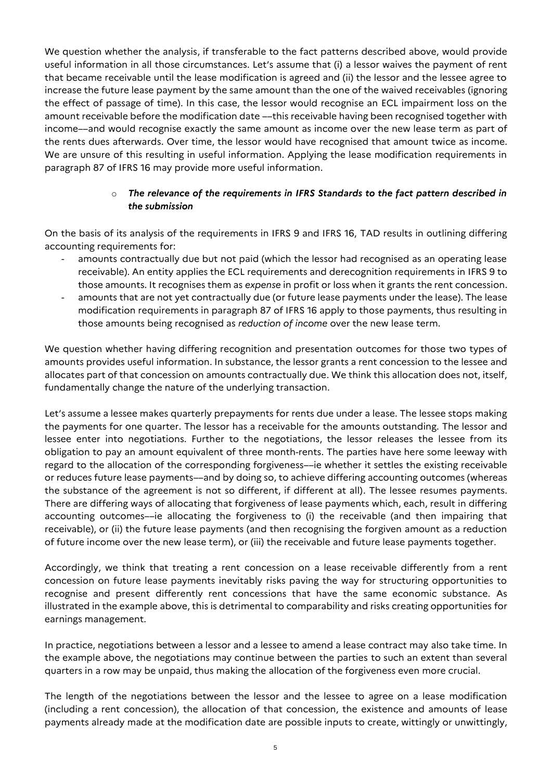We question whether the analysis, if transferable to the fact patterns described above, would provide useful information in all those circumstances. Let's assume that (i) a lessor waives the payment of rent that became receivable until the lease modification is agreed and (ii) the lessor and the lessee agree to increase the future lease payment by the same amount than the one of the waived receivables (ignoring the effect of passage of time). In this case, the lessor would recognise an ECL impairment loss on the amount receivable before the modification date --this receivable having been recognised together with income––and would recognise exactly the same amount as income over the new lease term as part of the rents dues afterwards. Over time, the lessor would have recognised that amount twice as income. We are unsure of this resulting in useful information. Applying the lease modification requirements in paragraph 87 of IFRS 16 may provide more useful information.

### o *The relevance of the requirements in IFRS Standards to the fact pattern described in the submission*

On the basis of its analysis of the requirements in IFRS 9 and IFRS 16, TAD results in outlining differing accounting requirements for:

- amounts contractually due but not paid (which the lessor had recognised as an operating lease receivable). An entity applies the ECL requirements and derecognition requirements in IFRS 9 to those amounts. It recognises them as *expense* in profit or loss when it grants the rent concession.
- amounts that are not yet contractually due (or future lease payments under the lease). The lease modification requirements in paragraph 87 of IFRS 16 apply to those payments, thus resulting in those amounts being recognised as *reduction of income* over the new lease term.

We question whether having differing recognition and presentation outcomes for those two types of amounts provides useful information. In substance, the lessor grants a rent concession to the lessee and allocates part of that concession on amounts contractually due. We think this allocation does not, itself, fundamentally change the nature of the underlying transaction.

Let's assume a lessee makes quarterly prepayments for rents due under a lease. The lessee stops making the payments for one quarter. The lessor has a receivable for the amounts outstanding. The lessor and lessee enter into negotiations. Further to the negotiations, the lessor releases the lessee from its obligation to pay an amount equivalent of three month-rents. The parties have here some leeway with regard to the allocation of the corresponding forgiveness––ie whether it settles the existing receivable or reduces future lease payments––and by doing so, to achieve differing accounting outcomes (whereas the substance of the agreement is not so different, if different at all). The lessee resumes payments. There are differing ways of allocating that forgiveness of lease payments which, each, result in differing accounting outcomes––ie allocating the forgiveness to (i) the receivable (and then impairing that receivable), or (ii) the future lease payments (and then recognising the forgiven amount as a reduction of future income over the new lease term), or (iii) the receivable and future lease payments together.

Accordingly, we think that treating a rent concession on a lease receivable differently from a rent concession on future lease payments inevitably risks paving the way for structuring opportunities to recognise and present differently rent concessions that have the same economic substance. As illustrated in the example above, this is detrimental to comparability and risks creating opportunities for earnings management.

In practice, negotiations between a lessor and a lessee to amend a lease contract may also take time. In the example above, the negotiations may continue between the parties to such an extent than several quarters in a row may be unpaid, thus making the allocation of the forgiveness even more crucial.

The length of the negotiations between the lessor and the lessee to agree on a lease modification (including a rent concession), the allocation of that concession, the existence and amounts of lease payments already made at the modification date are possible inputs to create, wittingly or unwittingly,